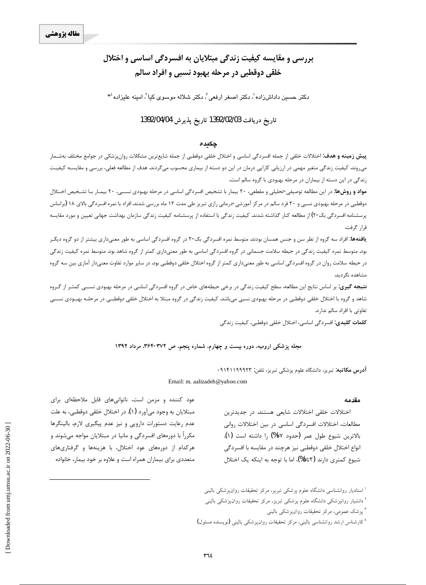# بررسی و مقایسه کیفیت زندگی مبتلایان به افسردگی اساسی و اختلال خلقي دوقطبي در مرحله بهبود نسبي و افراد سالم

دکتر حسین داداش(اده`، دکتر اصغر ارفعی`، دکتر شلاله موسوی کیا`، امینه علیزاده ٔ\*

### تاريخ دريافت 1392/02/03 تاريخ يذيرش 1392/04/04

### چکیدہ

**پیش زمینه و هدف**: اختلالات خلقی از جمله افسردگی اساسی و اختلال خلقی دوقطبی از جمله شایعترین مشکلات روانپزشکی در جوامع مختلف بهشـمار می,وند. کیفیت زندگی متغیر مهمی در ارزیابی کارایی درمان در این دو دسته از بیماری محسوب میگردند. هدف از مطالعه فعلی، بررسی و مقایسـه کیفیـت زندگی در این دسته از بیماران در مرحله بهبودی با گروه سالم است.

**مواد و روشها:** در این مطالعه توصیفی-تحلیلی و مقطعی، ۲۰ بیمار با تشخیص افسردگی اساسی در مرحله بهبودی نسـبی، ۲۰ بیمـار بـا تشـخیص اخـتلال دوقطبی در مرحله بهبودی نسبی و ۲۰ فرد سالم در مرکز آموزشی-درمانی رازی تبریز طی مدت ۱۲ ماه بررسی شدند. افراد با نمره افسردگی بالای ۱۸ (براساس پرسشنامه افسردگی بک-۲) از مطالعه کنار گذاشته شدند. کیفیت زندگی با استفاده از پرسشنامه کیفیت زندگی سازمان بهداشت جهانی تعیین و مورد مقایسه قرار گرفت.

**یافتهها:** افراد سه گروه از نظر سن و جنس همسان بودند. متوسط نمره افسردگی بک-۲ در گروه افسردگی اساسی به طور معنیداری بیشتر از دو گروه دیگـر بود. متوسط نمره کیفیت زندگی در حیطه سلامت جسمانی در گروه افسردگی اساسی به طور معنیداری کمتر از گروه شاهد بود. متوسط نمره کیفیت زندگی در حیطه سلامت روان در گروه افسردگی اساسی به طور معنیداری کمتر از گروه اختلال خلقی دوقطبی بود. در سایر موارد تفاوت معنیدار آماری بین سه گروه مشاهده نگ دىد.

**نتیجه گیری**: بر اساس نتایج این مطالعه، سطح کیفیت زندگی در برخی حیطههای خاص در گروه افسردگی اساسی در مرحله بهبودی نسـبی کمتـر از گـروه شاهد و گروه با اختلال خلقی دوقطبی در مرحله بهبودی نسبی میباشد. کیفیت زندگی در گروه مبتلا به اختلال خلقی دوقطبـی در مرحلـه بهبـودی نسـبی تفاوتی با افراد سالم ندارد.

**كلمات كليدى:** افسردگى اساسى، اختلال خلقى دوقطبى، كيفيت زندگى

#### مجله پزشکی ارومیه، دوره بیست و چهارم، شماره پنجم، ص ۳۷۲-۳۶۴، مرداد ۱۳۹۲

آدرس مكاتبه: تبريز، دانشگاه علوم يزشكي تبريز، تلفن: ٩١۴١١٩٩٩٢٣

Email: m. aalizadeh@yahoo.com

#### مقدمه

اختلالات خلقی اختلالات شایعی هستند. در جدیدترین مطالعات، اختلالات افسردگی اساسی در بین اختلالات روانی بالاترين شيوع طول عمر (حدود ١٧%) را داشته است (١). انواع اختلال خلقی دوقطبی نیز هرچند در مقایسه با افسردگی شیوع کمتری دارند (۲تا۵%)، اما با توجه به اینکه یک اختلال

عود کننده و مزمن است، ناتوانیهای قابل ملاحظهای برای مبتلایان به وجود میآورد (۱). در اختلال خلقی دوقطبی، به علت عدم رعایت دستورات دارویی و نیز عدم پیگیری لازم، بالینگرها مکرراً با دورههای افسردگی و مانیا در مبتلایان مواجه میشوند و هرکدام از دورههای عود اختلال، با هزینهها و گرفتاریهای متعددی برای بیماران همراه است و علاوه بر خود بیمار، خانواده

<sup>&</sup>lt;sup>ا</sup> استادیار روانشناسی دانشگاه علوم پزشکی تبریز، مرکز تحقیقات روانپزشکی بالینی <sup>۲</sup> دانشیار روانپزشکی دانشگاه علوم پزشکی تبریز، مرکز تحقیقات روان پزشکی بالینی " پزشک عمومی، مرکز تحقیقات روانپزشکی بالینی <sup>؛</sup> کارشناس ارشد روانشناسی بالینی، مرکز تحقیقات روانپزشکی بالینی (نویسنده مسئول)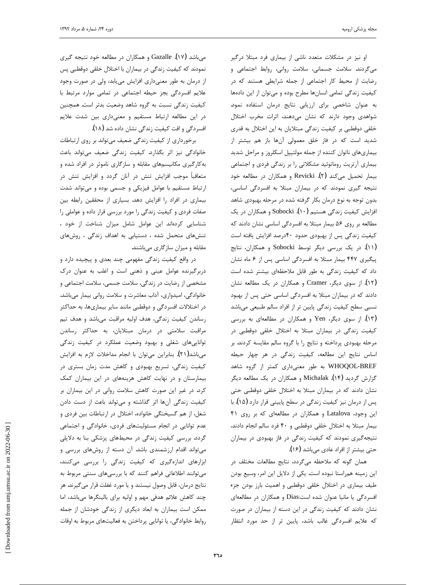j

او نیز در مشکلات متعدد ناشی از بیماری فرد مبتلا درگیر میگردند. سلامت جسمانی، سلامت روانی، روابط اجتماعی و رضایت از محیط کار اجتماعی از جمله شرایطی هستند که در کیفیت زندگی تمامی انسانها مطرح بوده و میتوان از این دادهها به عنوان شاخصی برای ارزیابی نتایج درمان استفاده نمود. شواهدی وجود دارند که نشان میدهند، اثرات مخرب اختلال خلقی دوقطبی بر کیفیت زندگی مبتلایان به این اختلال به قدری شدید است که در فاز خلق معمولی آنها باز هم بیشتر از بیماریهای ناتوان کننده از جمله مولتیپل اسکلروز و مراحل شدید بیماری آرتریت روماتوئید مشکلاتی را بر زندگی فردی و اجتماعی بیمار تحمیل میکند (۲). Revicki و همکاران در مطالعه خود نتیجه گیری نمودند که در بیماران مبتلا به افسردگی اساسی، بدون توجه به نوع درمان بكار گرفته شده در مرحله بهبودي شاهد افزایش کیفیت زندگی هستیم Sobocki .(۱۰) . آفزایش کیفیت زندگی مطالعه بر روی ۵۶ بیمار مبتلا به افسردگی اساسی نشان دادند که کیفیت زندگی پس از بهبودی حدود ۴۰درصد افزایش یافته است (۱۱). در یک بررسی دیگر توسط Sobocki و همکاران، نتایج پیگیری ۴۴۷ بیمار مبتلا به افسردگی اساسی پس از ۶ ماه نشان داد که کیفیت زندگی به طور قابل ملاحظهای بیشتر شده است (۱۲). از سوی دیگر، Cramer و همکاران در یک مطالعه نشان دادند که در بیماران مبتلا به افسردگی اساسی حتی پس از بهبود نسبی سطح کیفیت زندگی پایین تر از افراد سالم طبیعی میباشد (۱۳). از سوی دیگر، Yen و همکاران در مطالعهای به بررسی کیفیت زندگی در بیماران مبتلا به اختلال خلقی دوقطبی در مرحله بهبودي پرداخته و نتايج را با گروه سالم مقايسه كردند. بر اساس نتايج اين مطالعه، كيفيت زندگى در هر چهار حيطه WHOQOL-BREF به طور معنىدارى كمتر از گروه شاهد گزارش گردید Michalak .(۱۴) و همکاران در یک مطالعه دیگر نشان دادند که در بیماران مبتلا به اختلال خلقی دوقطبی حتی پس از درمان نیز کیفیت زندگی در سطح پایینی قرار دارد (۱۵). با این وجود، Latalova و همکاران در مطالعهای که بر روی ۴۱ بيمار مبتلا به اختلال خلقى دوقطبى و ۴۰ فرد سالم انجام دادند، نتیجه گیری نمودند که کیفیت زندگی در فاز بهبودی در بیماران حتی بیشتر از افراد عادی میباشد (۱۶).

همان گونه که ملاحظه میگردد، نتایج مطالعات مختلف در این زمینه همراستا نبوده است. یکی از دلایل این امر، وسیع بودن طیف بیماری در اختلال خلقی دوقطبی و اهمیت بارز بودن جزء افسردگی یا مانیا عنوان شده است:Dias و همکاران در مطالعهای نشان دادند که کیفیت زندگی در این دسته از بیماران در صورت كه علايم افسردگى غالب باشد، پايين تر از حد مورد انتظار

میباشد Gazalle .(۱۷) و همکاران در مطالعه خود نتیجه گیری نمودند که کیفیت زندگی در بیماران با اختلال خلقی دوقطبی پس از درمان به طور معنىدارى افزايش مىيابد، ولى در صورت وجود غلايم افسردگى بجز حيطه اجتماعى در تمامى موارد مرتبط با كيفيت زندگى نسبت به گروه شاهد وضعيت بدتر است. همچنين در این مطالعه ارتباط مستقیم و معنیداری بین شدت علایم افسردگی و افت کیفیت زندگی نشان داده شد (۱۸).

برخورداري از كيفيت زندگي ضعيف ميتواند بر روي ارتباطات خانوادگی نیز اثر بگذارد. کیفیت زندگی ضعیف میتواند باعث به کارگیری مکانیسمهای مقابله و سازگاری ناموثر در افراد شده و متعاقباً موجب افزایش تنش در آنان گردد و افزایش تنش در ارتباط مستقیم با عوامل فیزیکی و جسمی بوده و میتواند شدت بيماري در افراد را افزايش دهد. بسياري از محققين رابطه بين خفات فردی و کیفیت زندگی را مورد بررسی قرار داده و عواملی را شناسایی کردهاند این عوامل شامل میزان شناخت از خود ، تنشهای متحمل شده ، دستیابی به اهداف زندگی ، روشهای مقابله و میزان سازگاری میباشند.

در واقع کیفیت زندگی مفهومی چند بعدی و پیچیده دارد و دربرگیرنده عوامل عینی و ذهنی است و اغلب به عنوان درک مشخصی از رضایت در زندگی، سلامت جسمی، سلامت اجتماعی و خانوادگی، امیدواری، آداب معاشرت و سلامت روانی بیمار میباشد. در اختلالات افسردگی و دوقطبی مانند سایر بیماریها، به حداکثر رساندن کیفیت زندگی، هدف اولیه مراقبت میباشد و هدف تیم مراقبت سلامتی در درمان مبتلایان، به حداکثر رساندن تواناییهای شغلی و بهبود وضعیت عملکرد در کیفیت زندگی میباشد(۲۱). بنابراین میتوان با انجام مداخلات لازم به افزایش کیفیت زندگی، تسریع بهبودی و کاهش مدت زمان بستری در بیمارستان و در نهایت کاهش هزینههای در این بیماران کمک كرد. در غير اين صورت كاهش سلامت رواني در اين بيماران بر کیفیت زندگی آنها اثر گذاشته و میتواند باعث از دست دادن شغل، از هم گسیختگی خانواده، اختلال در ارتباطات بین فردی و عدم توانایی در انجام مسئولیتهای فردی، خانوادگی و اجتماعی گردد. بررسی کیفیت زندگی در محیطهای پزشکی بنا به دلایلی میتواند اقدام ارزشمندی باشد. آن دسته از روشهای بررسی و ابزارهای اندازهگیری که کیفیت زندگی را بررسی میکنند، میتوانند اطلاعاتی فراهم کنند که با بررسیهای سنتی مربوط به نتايج درمان، قابل وصول نيستند و يا مورد غفلت قرار مي گيرند. هر چند کاهش علائم هدفی مهم و اولیه برای بالینگرها میباشد، اما ممکن است بیماران به ابعاد دیگری از زندگی خودشان از جمله روابط خانوادگی، یا توانایی پرداختن به فعالیتهای مربوط به اوقات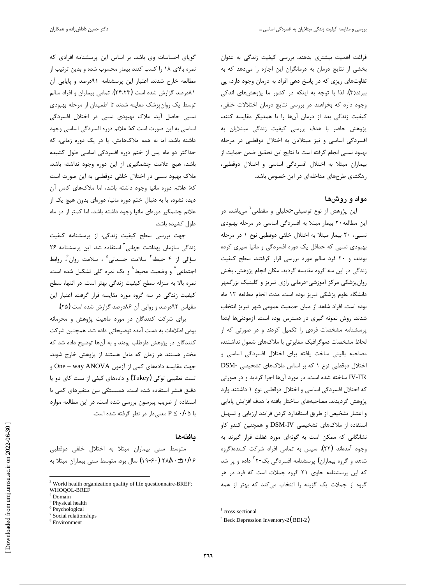فراغت اهمیت بیشتری بدهند. بررسی کیفیت زندگی به عنوان بخشی از نتایج درمان به درمانگران این اجازه را میدهد که به تفاوتهای ریزی که در پاسخ دهی افراد به درمان وجود دارد، پی ببرند(۳). لذا با توجه به اینکه در کشور ما پژوهش های اندکی وجود دارد که بخواهند در بررسی نتایج درمان اختلالات خلقی، كيفيت زندگى بعد از درمان آنها را با همديگر مقايسه كنند، پژوهش حاضر با هدف بررسی کیفیت زندگی مبتلایان به افسردگی اساسی و نیز مبتلایان به اختلال دوقطبی در مرحله بهبود نسبي انجام گرفته است تا نتايج اين تحقيق ضمن حمايت از بیماران مبتلا به اختلال افسردگی اساسی و اختلال دوقطبی، رهگشای طرحهای مداخلهای در این خصوص باشد.

### مواد و روشها

ین پژوهش از نوع توصیفی-تحلیلی و مقطعی<sup>۱</sup> میباشد. در این مطالعه ۲۰ بیمار مبتلا به افسردگی اساسی در مرحله بهبودی نسبی، ٢٠ بيمار مبتلا به اختلال خلقي دوقطبي نوع ١ در مرحله بهبودی نسبی که حداقل یک دوره افسردگی و مانیا سپری کرده بودند، و ۲۰ فرد سالم مورد بررسی قرار گرفتند. سطح کیفیت زندگی در این سه گروه مقایسه گردید. مکان انجام پژوهش، بخش روانپزشکی مرکز آموزشی-درمانی رازی تبریز و کلینیک بزرگمهر دانشگاه علوم پزشکی تبریز بوده است. مدت انجام مطالعه ۱۲ ماه بوده است. افراد شاهد از ميان جمعيت عمومي شهر تبريز انتخاب شدند. روش نمونه گیری در دسترس بوده است. آزمودنیها ابتدا پرسشنامه مشخصات فردی را تکمیل کردند و در صورتی که از لحاظ مشخصات دموگرافیک مغایرتی با ملاکهای شمول نداشتند، مصاحبه باليني ساخت يافته براي اختلال افسردگي اساسي و اختلال دوقطبی نوع ١ که بر اساس ملاکهای تشخیصی -DSM ƾţŹƺƇŹŵƹŶƿŵźĭřźūř ŚƷƱōŵŹƺƯŹŵŢſřƵŶƃƶŤųŚſ IV-TR که اختلال افسردگی اساسی و اختلال دوقطبی نوع ۱ داشتند وارد پژوهش گرديدند. مصاحبههاي ساختار يافته با هدف افزايش پايايي و اعتبار تشخيص از طريق استاندارد كردن فرايند ارزيابي و تسهيل استفاده از ملاکهای تشخیصی DSM-IV و همچنین کندو کاو نشانگانی که ممکن است به گونهای مورد غفلت قرار گیرند به وجود آمدهاند (۲۲). سپس به تمامی افراد شرکت کننده(گروه شاهد و گروه بیماران) پرسشنامه افسردگی بک-۲<sup>۲</sup> داده و پر شد که این پرسشنامه حاوی ۲۱ گروه جملات است که فرد در هر گروه از جملات یک گزینه را انتخاب میکند که بهتر از همه

 $\overline{a}$ 

گویای احساسات وی باشد. بر اساس این پرسشنامه افرادی که نمره بالای ١٨ را كسب كنند بيمار محسوب شده و بدين ترتيب از مطالعه خارج شدند. اعتبار این پرسشنامه ۹۱درصد و پایایی آن ۸۱درصد گزارش شده است (۲۴،۲۳). تمامی بیماران و افراد سالم توسط یک روانپزشک معاینه شدند تا اطمینان از مرحله بهبودی نسبی حاصل آید. ملاک بهبودی نسبی در اختلال افسردگی اساسی به این صورت است که: علائم دوره افسردگی اساسی وجود داشته باشد، اما نه همه ملاکهایش. یا در یک دوره زمانی، که حداکثر دو ماه پس از ختم دوره افسردگی اساسی طول کشیده باشد، هیچ علامت چشمگیری از این دوره وجود نداشته باشد. ملاک بهبود نسبی در اختلال خلقی دوقطبی به این صورت است که: علائم دوره مانيا وجود داشته باشد، اما ملاکهای کامل آن دیده نشود، یا به دنبال ختم دوره مانیا، دورهای بدون هیچ یک از علائم چشمگیر دورهای مانیا وجود داشته باشد، اما کمتر از دو ماه طول كشيده باشد.

جهت بررسی سطح کیفیت زندگی، از پرسشنامه کیفیت زندگی سازمان بهداشت جهانی<sup>۳</sup> استفاده شد. این پرسشنامه ۲۶ سؤالی از ۴ حیطه<sup>۴</sup> سلامت جسمانی<sup>۵</sup> ، سلامت روان<sup>۶</sup>، روابط جتماعی<sup>۷</sup> و وضعیت محیط<sup>۸</sup> و یک نمره کلی تشکیل شده است. نمره بالا به منزله سطح كيفيت زندگى بهتر است. در انتها، سطح کیفیت زندگی در سه گروه مورد مقایسه قرار گرفت. اعتبار این مقیاس ۹۲درصد و روایی آن ۸۶درصد گزارش شده است (۲۵).

برای شرکت کنندگان در مورد ماهیت پژوهش و محرمانه بودن اطلاعات به دست آمده توضيحاتي داده شد. همچنين شركت کنندگان در پژوهش داوطلب بودند و به آنها توضیح داده شد که مختار هستند هر زمان که مایل هستند از پژوهش خارج شوند. جهت مقايسه دادههاى كمى از آزمون One – way ANOVA و تست تعقیبی توکی (Tukey) و دادههای کیفی از تست کای دو یا ذقيق فيشر استفاده شده است. همبستگى بين متغيرهاى كمى با استفاده از ضريب پيرسون بررسي شده است. در اين مطالعه موارد با ۰/۰۵ F معنى دار در نظر گرفته شده است.

### **مافت**ەھا

متوسط سنی بیماران مبتلا به اختلال خلقی دوقطبی ۲۸/۸۰±۱۱/۱۶ (۶۰-۱۹) سال بود. متوسط سنی بیماران مبتلا به

 $\overline{a}$ 

<sup>&</sup>lt;sup>1</sup> cross-sectional

<sup>2</sup> Beck Depression Inventory-2( BDI-2)

<sup>3</sup> World health organization quality of life questionnaire-BREF; WHOQOL-BREF

<sup>4</sup> Domain

<sup>&</sup>lt;sup>5</sup> Physical health

<sup>6</sup> Psychological

<sup>7</sup> Social relationships

<sup>8</sup> Environment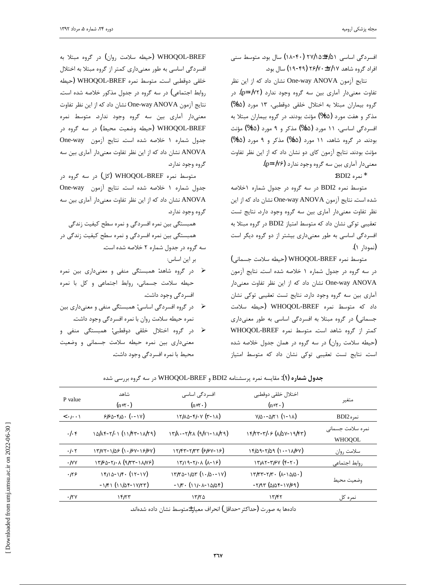j

افسردگی اساسی ۵۱/۶±۲۷/۱۵ (۱۸-۴۰) سال بود. متوسط سنی افراد گروه شاهد ۲۶/۷۰±۲/۱۷ (۴۹-۱۹) سال بود.

نتايج آزمون One-way ANOVA نشان داد كه از اين نظر تفاوت معنیدار آماری بین سه گروه وجود ندارد (p=•/۷۲). در گروه بیماران مبتلا به اختلال خلقی دوقطبی، ۱۳ مورد (۶۵%) مذکر و هفت مورد (۳۵%) مؤنث بودند. در گروه بیماران مبتلا به افسردگی اساسی، ۱۱ مورد (۵۵%) مذکر و ۹ مورد (۴۵%) مؤنث بودند. در گروه شاهد، ۱۱ مورد (۵۵%) مذکر و ۹ مورد (۴۵%) مؤنث بودند. نتايج آزمون كاي دو نشان داد كه از اين نظر تفاوت معنىدار آماري بين سه گروه وجود ندارد (p=٠/٧۶).

 $\cdot$ BDI2 نمره'

متوسط نمره BDI2 در سه گروه در جدول شماره ۱خلاصه شده است. نتايج آزمون One-way ANOVA نشان داد كه از اين نظر تفاوت معنى دار آمارى بين سه گروه وجود دارد. نتايج تست تعقیبی توکی نشان داد که متوسط امتیاز BDI2 در گروه مبتلا به افسردگی اساسی به طور معنیداری بیشتر از دو گروه دیگر است (نمودا, ۱).

متوسط نمره WHOQOL-BREF (حيطه سلامت جسمانى) در سه گروه در جدول شماره ۱ خلاصه شده است. نتایج آزمون One-way ANOVA نشان داد که از این نظر تفاوت معنی دار آماری بین سه گروه وجود دارد. نتایج تست تعقیبی توکی نشان داد که متوسط نمره WHOQOL-BREF (حیطه سلامت جسمانی) در گروه مبتلا به افسردگی اساسی به طور معنیداری كمتر از گروه شاهد است. متوسط نمره WHOQOL-BREF خیطه سلامت روان) در سه گروه در همان جدول خلاصه شده) است. نتايج تست تعقيبي توكي نشان داد كه متوسط امتياز

WHOQOL-BREF (حیطه سلامت روان) در گروه مبتلا به افسردگی اساسی به طور معنیداری کمتر از گروه مبتلا به اختلال خلقى دوقطبى است. متوسط نمره WHOQOL-BREF (حيطه روابط اجتماعی) در سه گروه در جدول مذکور خلاصه شده است. نتايج آزمون One-way ANOVA نشان داد كه از اين نظر تفاوت معنیدار آماری بین سه گروه وجود ندارد. متوسط نمره WHOQOL-BREF (حيطه وضعيت محيط) در سه گروه در Cone-way بحدول شماره ١ خلاصه شده است. نتايج آزمون One-way نشان داد که از این نظر تفاوت معنیدار آماری بین سه ANOVA گروه وجود ندارد.

متوسط نمره WHOQOL-BREF (کل) در سه گروه در One-way بحدول شماره ١ خلاصه شده است. نتايج آزمون One-way نشان داد که از این نظر تفاوت معنیدار آماری بین سه ANOVA گروه وجود ندارد.

همبستگی بین نمره افسردگی و نمره سطح کیفیت زندگی همبستگی بین نمره افسردگی و نمره سطح کیفیت زندگی در سه گروه در جدول شماره ۲ خلاصه شده است.

بر این اساس:

- ۷ در گروه شاهد: همبستگی منفی و معنیداری بین نمره حیطه سلامت جسمانی، روابط اجتماعی و کل با نمره افسردگی وجود داشت.
- ƲǀŝƽŹřŵƾƴƘƯƹƾƠƴƯƾĮŤƀŞưƷ :ƾſŚſřƾĭŵźƀƟřƵƹźĭŹŵ ¾ نمره حيطه سلامت روان با نمره افسردگي وجود داشت.
- ﴿ در گروه اختلال خلقی دوقطبی: همبستگی منفی و معنیداری بین نمره حیطه سلامت جسمانی و وضعیت محيط با نمره افسردگي وجود داشت.

| P value                               | شاهد<br>$(n=\tau)$                            | افسردگی اساسی<br>$(n=\tau \cdot)$                                                  | اختلال خلقى دوقطبي<br>$(n=\tau \cdot)$                              | متغير                              |
|---------------------------------------|-----------------------------------------------|------------------------------------------------------------------------------------|---------------------------------------------------------------------|------------------------------------|
| $\langle \cdot   \cdot \cdot \rangle$ | $980 - 910 \cdot (-19)$                       | $\gamma$ $\gamma/\lambda \Delta$ - $\gamma$ / $\gamma$ $(\gamma - \gamma \lambda)$ | $V/\Delta - \Delta/Y$ (1-11)                                        | $BDI2$ نمره                        |
| $. .$ ۴                               | $10/xf - 7/11 (11/ff - 11/19)$                | $\gamma$ $\gamma/\gamma$ . - $\gamma/\gamma$ ( $\gamma/\gamma$ ) - $\gamma/\gamma$ | $18/77 - 7/65$ ( $\lambda/\Delta$ Y-19/47)                          | نمره سلامت جسمانى<br><b>WHOOOL</b> |
| $\cdot$ / $\cdot$ ۲                   | $17/47 - 1/88 (1.184 - 18/84)$                | $17/97 - 7/97$ ( $9/97 - 19$ )                                                     | $18/29 - 7/29 (1 - 1)(84)$                                          | سلامت روان                         |
| $\cdot$ /yy                           | $1750 - 71.1 (9/77 - 11/19)$                  | $\frac{1}{7}$ $\frac{1}{9} - \frac{1}{1}$ . (1-18)                                 | $\frac{1}{\pi}$                                                     | روابط اجتماعي                      |
| .119                                  | $1510 - 15. (17-19)$<br>$-1/f1$ (11/24-14/77) | $15/8 - 1/85 (1.18 - 18)$<br>$-1/r \cdot (111.1 - 1000)$                           | $17/77 - 7/7. (\lambda - 10/0.)$<br>$-7/97$ ( $d\Delta 8 - 17/59$ ) | وضعيت محيط                         |
| .15 <sub>Y</sub>                      | ۱۴/۲۳                                         | ۱۳/۲۵                                                                              | 155                                                                 | نمرہ کل                            |
|                                       |                                               |                                                                                    |                                                                     |                                    |

ج**دول شماره (۱)**: مقايسه نمره پرسشنامه BDI2 و WHOQOL-BREF در سه گروه بررسی شده

دادهها به صورت (حداكثر -حداقل) انحراف معيار±متوسط نشان داده شدهاند.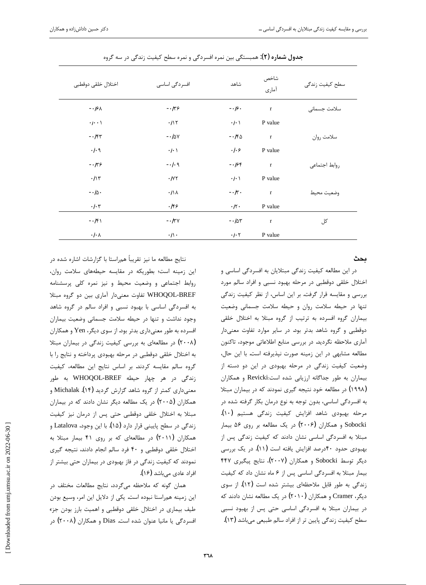| اختلال خلقى دوقطبي     | افسردگی اساسی        | شاهد                | شاخص<br>آماري | سطح كيفيت زندگى |
|------------------------|----------------------|---------------------|---------------|-----------------|
| $-15\lambda$           | $-159$               | $\frac{1}{2}$ .     | $\bf r$       | سلامت جسمانى    |
| $\cdot$ / $\cdot$      | .117                 | $\cdot/\cdot$       | P value       |                 |
| $-154$                 | $-1$ ۵۷              | $-150$              | $\bf r$       | سلامت روان      |
| $.$ / $.9$             | $\cdot/\cdot$        | $.  .$ ۶            | P value       |                 |
| $-159$                 | $-1.9$               | $-188$              | $\mathbf{r}$  | روابط اجتماعي   |
| .11                    | $\cdot/\gamma\gamma$ | $\cdot/\cdot$       | P value       |                 |
| $-.10.$                | $\cdot/\wedge$       | $-1/\tau$ .         | $\mathbf{r}$  | وضعيت محيط      |
| $\cdot$ / $\cdot$ ۳    | .159                 | $\cdot/\tau$ .      | P value       |                 |
| $-151$                 | $ \sqrt{\tau}$       | $-10r$              | $\mathbf{r}$  | کل              |
| $\cdot/\cdot$ $\wedge$ | $\cdot/\wedge$ .     | $\cdot$ / $\cdot$ ۲ | P value       |                 |

ج**دول شماره (۲)**: همبستگی بین نمره افسردگی و نمره سطح کیفیت زندگی در سه گروه

**يحث** 

در این مطالعه کیفیت زندگی مبتلایان به افسردگی اساسی و اختلال خلقى دوقطبى در مرحله بهبود نسبى و افراد سالم مورد بررسی و مقایسه قرار گرفت. بر این اساس، از نظر کیفیت زندگی تنها در حيطه سلامت روان و حيطه سلامت جسمانى وضعيت بیماران گروه افسرده به ترتیب از گروه مبتلا به اختلال خلقی دوقطبی و گروه شاهد بدتر بود. در سایر موارد تفاوت معنیدار آماری ملاحظه نگردید. در بررسی منابع اطلاعاتی موجود، تاکنون مطالعه مشابهی در این زمینه صورت نپذیرفته است. با این حال، وضعیت کیفیت زندگی در مرحله بهبودی در این دو دسته از بيماران به طور جداگانه ارزيابي شده است:Revicki و همكاران (۱۹۹۸) در مطالعه خود نتيجه گيري نمودند كه در بيماران مبتلا به افسردگی اساسی، بدون توجه به نوع درمان بکار گرفته شده در مرحله بهبودی شاهد افزایش کیفیت زندگی هستیم (۱۰). Sobocki و همکاران (۲۰۰۶) در یک مطالعه بر روی ۵۶ بیمار مبتلا به افسردگی اساسی نشان دادند که کیفیت زندگی پس از بهبودی حدود ۴۰درصد افزایش یافته است (۱۱). در یک بررسی دیگر توسط Sobocki و همکاران (۲۰۰۷)، نتایج پیگیری ۴۴۷ بیمار مبتلا به افسردگی اساسی پس از ۶ ماه نشان داد که کیفیت زندگی به طور قابل ملاحظهای بیشتر شده است (۱۲). از سوی دیگر، Cramer و همکاران (۲۰۱۰) در یک مطالعه نشان دادند که در بیماران مبتلا به افسردگی اساسی حتی پس از بهبود نسبی سطح کیفیت زندگی پایین تر از افراد سالم طبیعی میباشد (۱۳).

نتايج مطالعه ما نيز تقريباً همراستا با گزارشات اشاره شده در این زمینه است؛ بطوریکه در مقایسه حیطههای سلامت روان، روابط اجتماعی و وضعیت محیط و نیز نمره کلی پرسشنامه WHOQOL-BREF تفاوت معنىدار أماري بين دو گروه مبتلا به افسردگی اساسی با بهبود نسبی و افراد سالم در گروه شاهد وجود نداشت و تنها در حيطه سلامت جسماني وضعيت بيماران افسرده به طور معنى دارى بدتر بود. از سوى ديگر، Yen و همكاران کر مطالعهای به بررسی کیفیت زندگی در بیماران مبتلا (۲۰۰۸) به اختلال خلقى دوقطبى در مرحله بهبودى پرداخته و نتايج را با گروه سالم مقايسه كردند. بر اساس نتايج اين مطالعه، كيفيت زندگی در هر چهار حیطه WHOQOL-BREF به طور معنیداری کمتر از گروه شاهد گزارش گردید (۱۴). Michalak و همکاران (۲۰۰۵) در یک مطالعه دیگر نشان دادند که در بیماران مبتلا به اختلال خلقى دوقطبى حتى پس از درمان نيز كيفيت زندگی در سطح پایینی قرار دارد (۱۵). با این وجود، Latalova و همکاران (۲۰۱۱) در مطالعهای که بر روی ۴۱ بیمار مبتلا به اختلال خلقى دوقطبى و ۴۰ فرد سالم انجام دادند، نتيجه گيرى نمودند که کیفیت زندگی در فاز بهبودی در بیماران حتی بیشتر از افراد عادی مے باشد (۱۶).

همان گونه که ملاحظه میگردد، نتایج مطالعات مختلف در این زمینه همراستا نبوده است. یکی از دلایل این امر، وسیع بودن طیف بیماری در اختلال خلقی دوقطبی و اهمیت بارز بودن جزء افسردگی یا مانیا عنوان شده است. Dias و همکاران (۲۰۰۸) در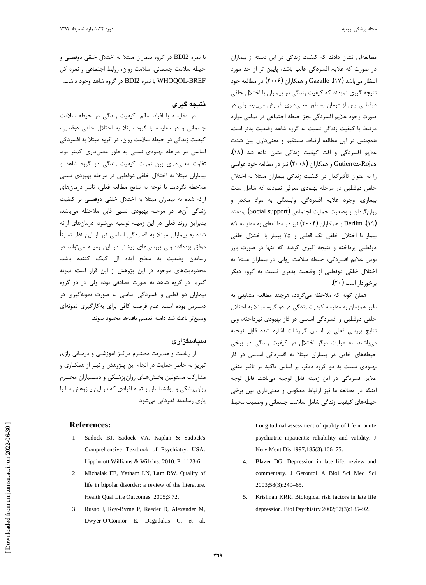j

مطالعهای نشان دادند که کیفیت زندگی در این دسته از بیماران در صورت كه علايم افسردگى غالب باشد، پايين تر از حد مورد انتظار میباشد Gazalle .(۲۰۰۶) (۲۰۰۶) در مطالعه خود نتيجه گيري نمودند كه كيفيت زندگي در بيماران با اختلال خلقي دوقطبی پس از درمان به طور معنیداری افزایش می یابد، ولی در صورت وجود علايم افسردگي بجز حيطه اجتماعي در تمامي موارد مرتبط با كيفيت زندگي نسبت به گروه شاهد وضعيت بدتر است. همچنین در این مطالعه ارتباط مستقیم و معنیداری بین شدت علايم افسردگي و افت كيفيت زندگي نشان داده شد (١٨). Gutierrez-Rojas و همكاران (۲۰۰۸) نيز در مطالعه خود عواملي را به عنوان تأثيرگذار در كيفيت زندگي بيماران مبتلا به اختلال خلقی دوقطبی در مرحله بهبودی معرفی نمودند که شامل مدت بيماري، وجود علايم افسردگي، وابستگي به مواد مخدر و روان گردان و وضعيت حمايت اجتماعي (Social support) بودهاند íîƶƀƿŚƤƯƶŝ ƽřƶƘƫŚƐƯŹŵżǀƳ (çååé) ƱřŹŚƨưƷƹ Berlim .(æî) بیمار با اختلال خلقی تک قطبی و ۲۵ بیمار با اختلال خلقی دوقطبی پرداخته و نتیجه گیری کردند که تنها در صورت بارز بودن علايم افسردگي، حيطه سلامت رواني در بيماران مبتلا به اختلال خلقى دوقطبى از وضعيت بدترى نسبت به گروه ديگر  $(\gamma \cdot)$ برخوردار است

همان گونه که ملاحظه میگردد، هرچند مطالعه مشابهی به طور همزمان به مقايسه كيفيت زندگي در دو گروه مبتلا به اختلال خلقی دوقطبی و افسردگی اساسی در فاز بهبودی نپرداخته، ولی نتايج بررسى فعلى بر اساس گزارشات اشاره شده قابل توجيه میباشند. به عبارت دیگر اختلال در کیفیت زندگی در برخی حیطههای خاص در بیماران مبتلا به افسردگی اساسی در فاز بهبودی نسبت به دو گروه دیگر، بر اساس تاکید بر تاثیر منفی علایم افسردگی در این زمینه قابل توجیه میباشد. قابل توجه اینکه در مطالعه ما نیز ارتباط معکوس و معنیداری بین برخی حیطههای کیفیت زندگی شامل سلامت جسمانی و وضعیت محیط

> Longitudinal assessment of quality of life in acute psychiatric inpatients: reliability and validity. J Nerv Ment Dis 1997;185(3):166–75.

- 4. Blazer DG. Depression in late life: review and commentary. J Gerontol A Biol Sci Med Sci 2003;58(3):249–65.
- 5. Krishnan KRR. Biological risk factors in late life depression. Biol Psychiatry 2002;52(3):185–92.

با نمره BDI2 در گروه بيماران مبتلا به اختلال خلقي دوقطبي و حیطه سلامت جسمانی، سلامت روان، روابط اجتماعی و نمره کل WHOQOL-BREF با نمره BDI2 در گروه شاهد وجود داشت.

### **نتيجه گيري**

در مقايسه با افراد سالم، كيفيت زندگى در حيطه سلامت جسمانی و در مقایسه با گروه مبتلا به اختلال خلقی دوقطبی، کیفیت زندگی در حیطه سلامت روان، در گروه مبتلا به افسردگی اساسی در مرحله بهبودی نسبی به طور معنیداری کمتر بود. تفاوت معنیداری بین نمرات کیفیت زندگی دو گروه شاهد و بیماران مبتلا به اختلال خلقی دوقطبی در مرحله بهبودی نسبی ملاحظه نگردید. با توجه به نتایج مطالعه فعلی، تاثیر درمانهای ارائه شده به بيماران مبتلا به اختلال خلقى دوقطبى بر كيفيت زندگی آنها در مرحله بهبودی نسبی قابل ملاحظه میباشد. بنابراین روند فعلی در این زمینه توصیه میشود. درمانهای ارائه شده به بیماران مبتلا به افسردگی اساسی نیز از این نظر نسبتاً موفق بودهاند؛ ولی بررسیهای بیشتر در این زمینه میتواند در رساندن وضعیت به سطح ایده آل کمک کننده باشد. محدودیتهای موجود در این پژوهش از این قرار است: نمونه گیری در گروه شاهد به صورت تصادفی بوده ولی در دو گروه بیماران دو قطبی و افسردگی اساسی به صورت نمونهگیری در دسترس بوده است. عدم فرصت كافي براي بهكارگيري نمونهاي وسيعتر باعث شد دامنه تعميم يافتهها محدود شوند.

### **سیاسگز**اری

از ریاست و مدیریت محتـرم مرکـز آموزشـی و درمـانی رازی نبریز به خاطر حمایت در انجام این پـژوهش و نیـز از همکـاری و مشارکت مسئولین بخشهای روانپزشکی و دستیاران محتـرم زوانپزشکی و روانشناسان و تمام افرادی که در این پـژوهش مـا را یاری رساندند قدردانی می شود.

#### **References:**

- 1. Sadock BJ, Sadock VA. Kaplan & Sadock's Comprehensive Textbook of Psychiatry. USA: Lippincott Williams & Wilkins; 2010. P. 1123-6.
- 2. Michalak EE, Yatham LN, Lam RW. Quality of life in bipolar disorder: a review of the literature. Health Qual Life Outcomes. 2005;3:72.
- 3. Russo J, Roy-Byrne P, Reeder D, Alexander M, Dwyer-O'Connor E, Dagadakis C, et al.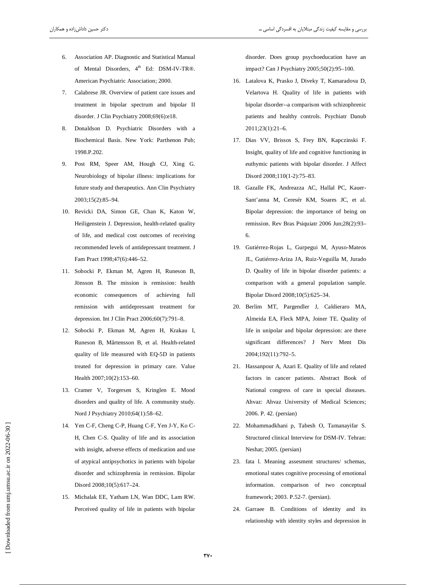- 6. Association AP. Diagnostic and Statistical Manual of Mental Disorders, 4<sup>th</sup> Ed: DSM-IV-TR®. American Psychiatric Association; 2000.
- 7. Calabrese JR. Overview of patient care issues and treatment in bipolar spectrum and bipolar II disorder. J Clin Psychiatry 2008;69(6):e18.
- 8. Donaldson D. Psychiatric Disorders with a Biochemical Basis. New York: Parthenon Pub; 1998.P.202.
- 9. Post RM, Speer AM, Hough CJ, Xing G. Neurobiology of bipolar illness: implications for future study and therapeutics. Ann Clin Psychiatry 2003;15(2):85-94.
- 10. Revicki DA, Simon GE, Chan K, Katon W, Heiligenstein J. Depression, health-related quality of life, and medical cost outcomes of receiving recommended levels of antidepressant treatment. J Fam Pract 1998;47(6):446-52.
- 11. Sobocki P, Ekman M, Agren H, Runeson B, Jönsson B. The mission is remission: health economic consequences of achieving full remission with antidepressant treatment for depression. Int J Clin Pract 2006;60(7):791-8.
- 12. Sobocki P, Ekman M, Agren H, Krakau I, Runeson B, Mårtensson B, et al. Health-related quality of life measured with EQ-5D in patients treated for depression in primary care. Value Health 2007;10(2):153-60.
- 13. Cramer V, Torgersen S, Kringlen E. Mood disorders and quality of life. A community study. Nord J Psychiatry 2010;64(1):58-62.
- 14. Yen C-F, Cheng C-P, Huang C-F, Yen J-Y, Ko C-H, Chen C-S. Quality of life and its association with insight, adverse effects of medication and use of atypical antipsychotics in patients with bipolar disorder and schizophrenia in remission. Bipolar Disord 2008;10(5):617-24.
- 15. Michalak EE, Yatham LN, Wan DDC, Lam RW. Perceived quality of life in patients with bipolar

disorder. Does group psychoeducation have an impact? Can J Psychiatry 2005;50(2):95-100.

- 16. Latalova K, Prasko J, Diveky T, Kamaradova D, Velartova H. Quality of life in patients with bipolar disorder--a comparison with schizophrenic patients and healthy controls. Psychiatr Danub  $2011;23(1):21-6.$
- 17. Dias VV, Brissos S, Frey BN, Kapczinski F. Insight, quality of life and cognitive functioning in euthymic patients with bipolar disorder. J Affect Disord 2008;110(1-2):75-83.
- 18. Gazalle FK, Andreazza AC, Hallal PC, Kauer-Sant'anna M, Ceresér KM, Soares JC, et al. Bipolar depression: the importance of being on remission. Rev Bras Psiquiatr 2006 Jun;28(2):93-6.
- 19. Gutiérrez-Rojas L, Gurpegui M, Ayuso-Mateos JL, Gutiérrez-Ariza JA, Ruiz-Veguilla M, Jurado D. Quality of life in bipolar disorder patients: a comparison with a general population sample. Bipolar Disord 2008;10(5):625-34.
- 20. Berlim MT, Pargendler J, Caldieraro MA, Almeida EA, Fleck MPA, Joiner TE. Quality of life in unipolar and bipolar depression: are there significant differences? J Nerv Ment Dis 2004;192(11):792-5.
- 21. Hassanpour A, Azari E. Quality of life and related factors in cancer patients. Abstract Book of National congress of care in special diseases. Ahvaz: Ahvaz University of Medical Sciences; 2006. P. 42. (persian)
- 22. Mohammadkhani p, Tabesh O, Tamanayifar S. Structured clinical Interview for DSM-IV. Tehran: Neshat; 2005. (persian)
- 23. fata l. Meaning assesment structures/ schemas, emotional states cognitive processing of emotional information. comparison of two conceptual framework; 2003. P.52-7. (persian).
- 24. Garraee B. Conditions of identity and its relationship with identity styles and depression in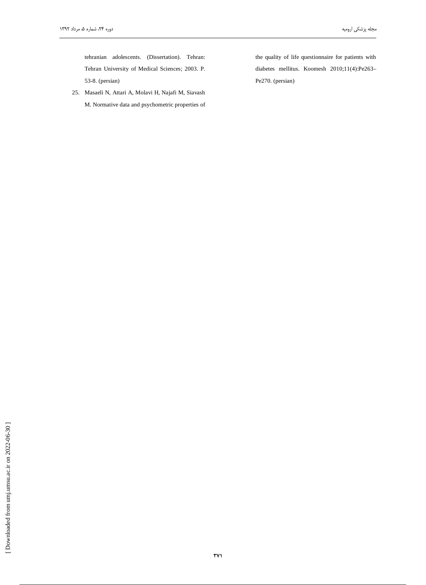tehranian adolescents. (Dissertation). Tehran: Tehran University of Medical Sciences; 2003. P. 53-8. (persian)

25. Masaeli N, Attari A, Molavi H, Najafi M, Siavash M. Normative data and psychometric properties of the quality of life questionnaire for patients with diabetes mellitus. Koomesh 2010;11(4):Pe263-Pe270. (persian)